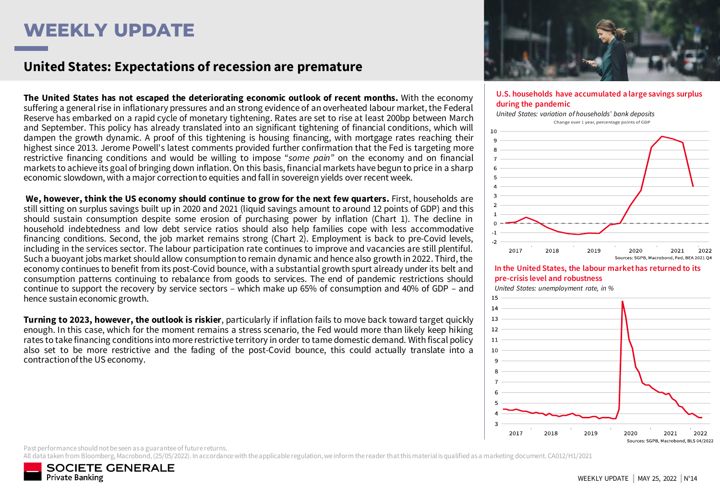# **WEEKLY UPDATE**

### **United States: Expectations of recession are premature**

**The United States has not escaped the deteriorating economic outlook of recent months.** With the economy suffering a general rise in inflationary pressures and an strong evidence of an overheated labour market, the Federal Reserve has embarked on a rapid cycle of monetary tightening. Rates are set to rise at least 200bp between March and September. This policy has already translated into an significant tightening of financial conditions, which will dampen the growth dynamic. A proof of this tightening is housing financing, with mortgage rates reaching their highest since 2013. Jerome Powell's latest comments provided further confirmation that the Fed is targeting more restrictive financing conditions and would be willing to impose "*some pain"* on the economy and on financial markets to achieve its goal of bringing down inflation.On this basis, financial markets have begun to price in a sharp economic slowdown, with a major correctionto equities and fall in sovereign yields over recent week.

**We, however, think the US economy should continue to grow for the next few quarters.** First, households are still sitting on surplus savings built up in 2020 and 2021 (liquid savings amount to around 12 points of GDP) and this should sustain consumption despite some erosion of purchasing power by inflation (Chart 1). The decline in household indebtedness and low debt service ratios should also help families cope with less accommodative financing conditions. Second, the job market remains strong (Chart 2). Employment is back to pre-Covid levels, including in the services sector. The labour participation rate continues to improve and vacancies are still plentiful. Such a buoyant jobs market should allow consumption to remain dynamic and hence also growth in 2022. Third, the economy continues to benefit from its post-Covid bounce, with a substantial growth spurt already under its belt and consumption patterns continuing to rebalance from goods to services. The end of pandemic restrictions should continue to support the recovery by service sectors – which make up 65% of consumption and 40% of GDP – and hence sustain economic growth.

**Turning to 2023, however, the outlook is riskier**, particularly if inflation fails to move back toward target quickly enough. In this case, which for the moment remains a stress scenario, the Fed would more than likely keep hiking rates to take financing conditions into more restrictive territory in order to tame domestic demand. With fiscal policy also set to be more restrictive and the fading of the post-Covid bounce, this could actually translate into a contraction of the US economy.



#### **U.S. households have accumulated a large savings surplus during the pandemic**



*United States: unemployment rate, in %* 15



Past performance should not be seen as a guarantee of future returns.

All data taken from Bloomberg, Macrobond, (25/05/2022). In accordance with the applicable regulation, we inform the reader that this material is qualified as a marketing document. CA012/H1/2021

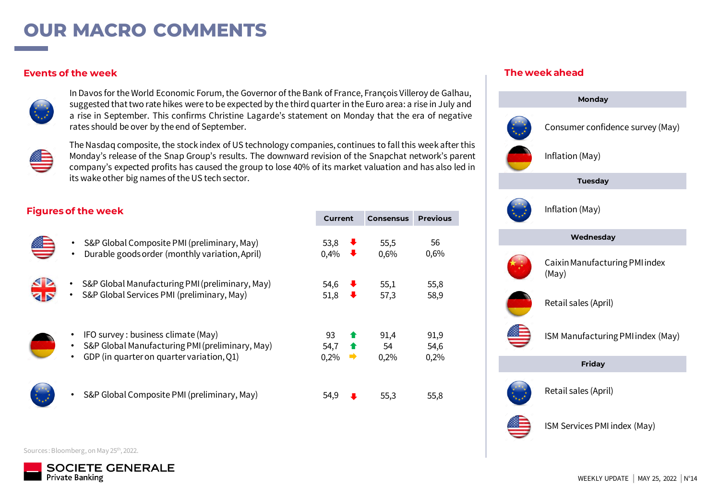## **OUR MACRO COMMENTS**

### **Events of the week**



In Davos for the World Economic Forum, the Governor of the Bank of France, François Villeroy de Galhau, suggested thattwo rate hikes were to be expected by the third quarter in the Euro area: a rise in July and a rise in September. This confirms Christine Lagarde's statement on Monday that the era of negative rates should be over by the end of September.



The Nasdaq composite, the stock index of US technology companies, continues to fall this week after this Monday's release of the Snap Group's results. The downward revision of the Snapchat network's parent company's expected profits has caused the group to lose 40% of its market valuation and has also led in its wake other big names of the US tech sector.

### **Figures of the week**



- S&P Global Composite PMI (preliminary, May) • Durable goods order (monthly variation, April)
	- S&P Global Manufacturing PMI (preliminary, May)
	- S&P Global Services PMI (preliminary, May)
	- IFO survey : business climate (May)
	- S&P Global Manufacturing PMI (preliminary, May)
	- GDP (in quarter on quarter variation, Q1)



• S&P Global Composite PMI (preliminary, May)

| Current |                      | <b>Consensus</b> | Previous |  |  |  |  |
|---------|----------------------|------------------|----------|--|--|--|--|
| 53,8    | $\ddot{\phantom{0}}$ | 55,5             | 56       |  |  |  |  |
| 0,4%    | ∙                    | 0,6%             | 0,6%     |  |  |  |  |
| 54,6    | $\ddot{\phantom{0}}$ | 55,1             | 55,8     |  |  |  |  |
| 51,8    | ∙                    | 57,3             | 58,9     |  |  |  |  |
| 93      | ♠                    | 91,4             | 91,9     |  |  |  |  |
| 54,7    | $\bullet$            | 54               | 54,6     |  |  |  |  |
| 0,2%    | $\Rightarrow$        | 0,2%             | 0,2%     |  |  |  |  |
| 54,9    |                      | 55,3             | 55,8     |  |  |  |  |

#### **The week ahead**



Sources : Bloomberg, on May 25th, 2022.

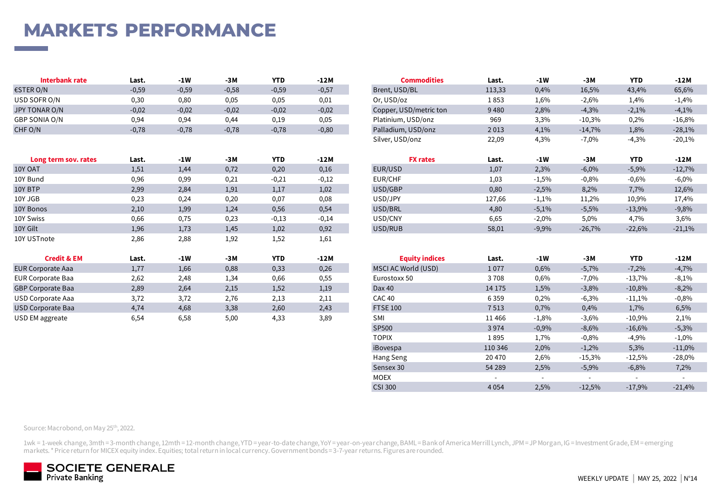## **MARKETS PERFORMANCE**

| Interbank rate | Last.   | -1 W    | $-3N$   | <b>YTD</b> | -12M    | <b>Commodities</b>     | Last.  | -1W  | $-3M$    | YTD     | $-12M$   |
|----------------|---------|---------|---------|------------|---------|------------------------|--------|------|----------|---------|----------|
| €STER O/N      | $-0,59$ | $-0,59$ | $-0,58$ | $-0,59$    | $-0,57$ | Brent, USD/BL          | 113,33 | 0,4% | 16,5%    | 43,4%   | 65,6%    |
| USD SOFR O/N   | 0,30    | 0,80    | 0,05    | 0,05       | 0,01    | Or, USD/oz             | 1853   | 1,6% | 2.6%     | 1.4%    | $-1,4%$  |
| JPY TONAR O/N  | $-0,02$ | $-0,02$ | $-0,02$ | $-0,02$    | $-0,02$ | Copper, USD/metric ton | 9480   | 2,8% | $-4,3%$  | $-2,1%$ | $-4,1%$  |
| GBP SONIA O/N  | 0,94    | 0,94    | 0.44    | 0,19       | 0,05    | Platinium, USD/onz     | 969    | 3,3% | $-10,3%$ | 0,2%    | $-16,8%$ |
| CHF O/N        | $-0,78$ | $-0,78$ | $-0,78$ | $-0,78$    | $-0,80$ | Palladium, USD/onz     | 2013   | 4.1% | $-14.7%$ | 1,8%    | $-28,1%$ |

| Long term sov. rates     | Last. | $-1W$ | $-3M$ | <b>YTD</b> | -12M    | <b>FX</b> rates       | Last.   | -1W     | -3M      | <b>YTD</b> | $-12M$   |
|--------------------------|-------|-------|-------|------------|---------|-----------------------|---------|---------|----------|------------|----------|
| 10Y OAT                  | 1,51  | 1,44  | 0,72  | 0,20       | 0,16    | EUR/USD               | 1,07    | 2,3%    | $-6,0%$  | $-5,9%$    | $-12,7%$ |
| 10Y Bund                 | 0,96  | 0,99  | 0,21  | $-0,21$    | $-0,12$ | EUR/CHF               | 1,03    | $-1,5%$ | $-0,8%$  | $-0,6%$    | $-6,0%$  |
| 10Y BTP                  | 2,99  | 2,84  | 1,91  | 1,17       | 1,02    | USD/GBP               | 0,80    | $-2,5%$ | 8,2%     | 7,7%       | 12,6%    |
| 10Y JGB                  | 0,23  | 0,24  | 0,20  | 0,07       | 0,08    | USD/JPY               | 127,66  | $-1,1%$ | 11,2%    | 10,9%      | 17,4%    |
| 10Y Bonos                | 2,10  | 1,99  | 1,24  | 0,56       | 0,54    | USD/BRL               | 4,80    | $-5,1%$ | $-5,5%$  | $-13,9%$   | $-9,8%$  |
| 10Y Swiss                | 0,66  | 0,75  | 0,23  | $-0,13$    | $-0,14$ | USD/CNY               | 6,65    | $-2,0%$ | 5,0%     | 4,7%       | 3,6%     |
| 10Y Gilt                 | 1,96  | 1,73  | 1,45  | 1,02       | 0,92    | USD/RUB               | 58,01   | $-9,9%$ | $-26,7%$ | $-22,6%$   | $-21,1%$ |
| 10Y USTnote              | 2,86  | 2,88  | 1,92  | 1,52       | 1,61    |                       |         |         |          |            |          |
| <b>Credit &amp; EM</b>   | Last. | $-1W$ | $-3M$ | <b>YTD</b> | $-12M$  | <b>Equity indices</b> | Last.   | $-1W$   | -3M      | <b>YTD</b> | $-12M$   |
| EUR Corporate Aaa        | 1,77  | 1,66  | 0,88  | 0,33       | 0,26    | MSCI AC World (USD)   | 1077    | 0,6%    | $-5,7%$  | $-7,2%$    | $-4,7%$  |
| <b>EUR Corporate Baa</b> | 2,62  | 2,48  | 1,34  | 0,66       | 0,55    | Eurostoxx 50          | 3708    | 0,6%    | $-7,0%$  | $-13,7%$   | $-8,1%$  |
| <b>GBP Corporate Baa</b> | 2,89  | 2,64  | 2,15  | 1,52       | 1,19    | Dax 40                | 14 175  | 1,5%    | $-3,8%$  | $-10,8%$   | $-8,2%$  |
| USD Corporate Aaa        | 3,72  | 3,72  | 2,76  | 2,13       | 2,11    | CAC 40                | 6 3 5 9 | 0,2%    | $-6,3%$  | $-11,1%$   | $-0,8%$  |
| USD Corporate Baa        | 4,74  | 4,68  | 3,38  | 2,60       | 2,43    | <b>FTSE 100</b>       | 7513    | 0,7%    | 0,4%     | 1,7%       | 6,5%     |

| Interbank rate       | Last.   | -1W     | -3M     | YTD        | -12M    | Commodities            | Last.   | -1W     | -3M      | YTD        | -12M     |
|----------------------|---------|---------|---------|------------|---------|------------------------|---------|---------|----------|------------|----------|
| €STER O/N            | $-0,59$ | $-0,59$ | $-0,58$ | $-0,59$    | $-0,57$ | Brent, USD/BL          | 113,33  | 0,4%    | 16,5%    | 43,4%      | 65,6%    |
| USD SOFR O/N         | 0,30    | 0,80    | 0,05    | 0,05       | 0,01    | Or, USD/oz             | 1853    | 1,6%    | $-2,6%$  | 1,4%       | $-1,4%$  |
| JPY TONAR O/N        | $-0,02$ | $-0,02$ | $-0,02$ | $-0,02$    | $-0,02$ | Copper, USD/metric ton | 9 4 8 0 | 2,8%    | $-4,3%$  | $-2,1%$    | $-4,1%$  |
| GBP SONIA O/N        | 0,94    | 0,94    | 0,44    | 0,19       | 0,05    | Platinium, USD/onz     | 969     | 3,3%    | $-10,3%$ | 0,2%       | $-16,8%$ |
| CHF O/N              | $-0,78$ | $-0,78$ | $-0,78$ | $-0,78$    | $-0,80$ | Palladium, USD/onz     | 2013    | 4,1%    | $-14,7%$ | 1,8%       | $-28,1%$ |
|                      |         |         |         |            |         | Silver, USD/onz        | 22,09   | 4,3%    | $-7,0%$  | $-4,3%$    | $-20,1%$ |
|                      |         |         |         |            |         |                        |         |         |          |            |          |
|                      |         |         |         |            |         |                        |         |         |          |            |          |
| Long term sov. rates | Last.   | $-1W$   | -3M     | <b>YTD</b> | $-12M$  | <b>FX rates</b>        | Last.   | $-1W$   | -3M      | <b>YTD</b> | $-12M$   |
| 10Y OAT              | 1,51    | 1,44    | 0,72    | 0,20       | 0,16    | EUR/USD                | 1,07    | 2,3%    | $-6,0%$  | $-5,9%$    | $-12,7%$ |
| 10Y Bund             | 0,96    | 0,99    | 0,21    | $-0,21$    | $-0,12$ | EUR/CHF                | 1,03    | $-1,5%$ | $-0.8%$  | $-0,6%$    | $-6,0\%$ |
| 10Y BTP              | 2,99    | 2,84    | 1,91    | 1,17       | 1,02    | USD/GBP                | 0,80    | $-2,5%$ | 8,2%     | 7,7%       | 12,6%    |
| 10Y JGB              | 0,23    | 0,24    | 0,20    | 0,07       | 0,08    | USD/JPY                | 127,66  | $-1,1%$ | 11,2%    | 10,9%      | 17,4%    |
| 10Y Bonos            | 2,10    | 1,99    | 1,24    | 0,56       | 0,54    | USD/BRL                | 4,80    | $-5,1%$ | $-5,5%$  | $-13,9%$   | $-9,8%$  |
| 10Y Swiss            | 0,66    | 0,75    | 0,23    | $-0,13$    | $-0,14$ | USD/CNY                | 6,65    | $-2,0%$ | 5,0%     | 4,7%       | 3,6%     |
| 10Y Gilt             | 1,96    | 1,73    | 1,45    | 1,02       | 0,92    | USD/RUB                | 58,01   | $-9,9%$ | $-26,7%$ | $-22,6%$   | $-21,1%$ |

| <b>Credit &amp; EM</b>   | Last. | $-1W$ | $-3M$ | <b>YTD</b> | $-12M$ | <b>Equity indices</b> | Last.   | $-1W$                    | $-3M$                    | <b>YTD</b> | $-12M$                   |
|--------------------------|-------|-------|-------|------------|--------|-----------------------|---------|--------------------------|--------------------------|------------|--------------------------|
| <b>EUR Corporate Aaa</b> | 1,77  | 1,66  | 0,88  | 0,33       | 0,26   | MSCI AC World (USD)   | 1077    | 0,6%                     | $-5,7%$                  | $-7,2%$    | $-4,7%$                  |
| <b>EUR Corporate Baa</b> | 2,62  | 2,48  | 1,34  | 0,66       | 0,55   | Eurostoxx 50          | 3708    | 0,6%                     | $-7,0%$                  | $-13,7%$   | $-8,1%$                  |
| <b>GBP Corporate Baa</b> | 2,89  | 2,64  | 2,15  | 1,52       | 1,19   | Dax 40                | 14 175  | 1,5%                     | $-3,8%$                  | $-10,8%$   | $-8,2%$                  |
| USD Corporate Aaa        | 3,72  | 3,72  | 2,76  | 2,13       | 2,11   | CAC 40                | 6 3 5 9 | 0,2%                     | $-6,3%$                  | $-11,1\%$  | $-0,8%$                  |
| <b>USD Corporate Baa</b> | 4,74  | 4,68  | 3,38  | 2,60       | 2,43   | <b>FTSE 100</b>       | 7513    | 0,7%                     | 0,4%                     | 1,7%       | 6,5%                     |
| USD EM aggreate          | 6,54  | 6,58  | 5,00  | 4,33       | 3,89   | SMI                   | 11466   | $-1,8%$                  | $-3,6%$                  | $-10,9%$   | 2,1%                     |
|                          |       |       |       |            |        | SP500                 | 3 9 7 4 | $-0,9%$                  | $-8,6%$                  | $-16,6%$   | $-5,3%$                  |
|                          |       |       |       |            |        | <b>TOPIX</b>          | 1895    | 1,7%                     | $-0,8%$                  | $-4,9%$    | $-1,0\%$                 |
|                          |       |       |       |            |        | iBovespa              | 110 346 | 2,0%                     | $-1,2%$                  | 5,3%       | $-11,0%$                 |
|                          |       |       |       |            |        | Hang Seng             | 20 470  | 2,6%                     | $-15,3%$                 | $-12,5%$   | $-28,0%$                 |
|                          |       |       |       |            |        | Sensex 30             | 54 289  | 2,5%                     | $-5,9%$                  | $-6,8%$    | 7,2%                     |
|                          |       |       |       |            |        | <b>MOEX</b>           | $\sim$  | $\overline{\phantom{0}}$ | $\overline{\phantom{a}}$ | $\sim$     | $\overline{\phantom{a}}$ |
|                          |       |       |       |            |        | <b>CSI 300</b>        | 4 0 5 4 | 2,5%                     | $-12,5%$                 | $-17,9%$   | $-21,4%$                 |

Source: Macrobond, on May 25<sup>th</sup>, 2022.

1wk = 1-week change, 3mth = 3-month change, 12mth = 12-month change, YTD = year-to-date change, YoY = year-on-year change, BAML = Bank of America Merrill Lynch, JPM = JP Morgan, IG = Investment Grade, EM = emerging markets. \* Price return for MICEX equity index. Equities; total return in local currency. Government bonds = 3-7-year returns. Figures are rounded.

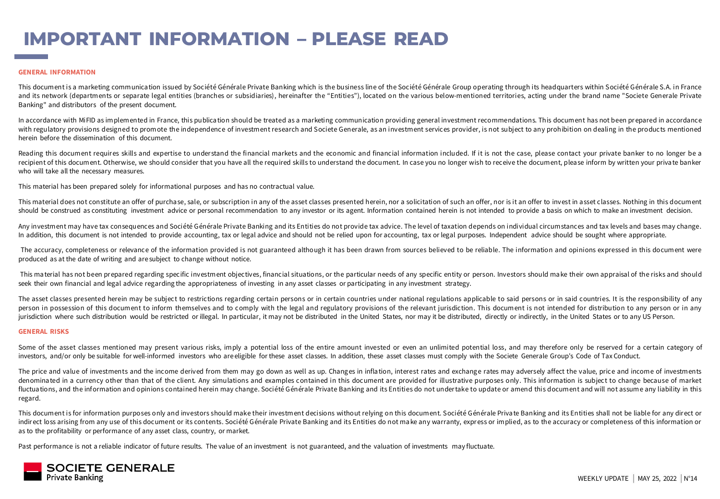# **IMPORTANT INFORMATION – PLEASE READ**

#### **GENERAL INFORMATION**

This document is a marketing communica tion issued by Société Générale Private Banking which is the business line of the Société Générale Group operating through its headquarters within Société Générale S.A. in France and its network (departments or separate legal entities (branches or subsidiaries), hereinafter the "Entities"), located on the various below-mentioned territories, acting under the brand name "Societe Generale Private Banking" and distributors of the present document.

In accordance with MiFID as implemented in France, this publication should be treated as a marketing communication providing general investment recommendations. This document has not been prepared in accordance with regulatory provisions designed to promote the independence of investment research and Societe Generale, as an investment services provider, is not subject to any prohibition on dealing in the products mentioned herein before the dissemination of this document.

Reading this document requires skills and expertise to understand the financial markets and the economic and financial information included. If it is not the case, please contact your private banker to no longer be a recipient of this document. Otherwise, we should consider that you have all the required skills to understand the document. In case you no longer wish to receive the document, please inform by written your private banker who will take all the necessary measures.

This material has been prepared solely for informational purposes and has no contractual value.

This material does not constitute an offer of purchase, sale, or subscription in any of the asset classes presented herein, nor a solicitation of such an offer, nor is it an offer to invest in asset classes. Nothing in thi should be construed as constituting investment advice or personal recommendation to any investor or its agent. Information contained herein is not intended to provide a basis on which to make an investment decision.

Any investment may have tax consequences and Société Générale Private Banking and its Entities do not provide tax advice. The level of taxation depends on individual circumstances and tax levels and bases may change. In addition, this document is not intended to provide accounting, tax or legal advice and should not be relied upon for accounting, tax or legal purposes. Independent advice should be sought where appropriate.

The accuracy, completeness or relevance of the information provided is not guaranteed although it has been drawn from sources believed to be reliable. The information and opinions expressed in this document were produced as at the date of writing and are subject to change without notice.

This material has not been prepared regarding specific investment objectives, financial situations, or the particular needs of any specific entity or person. Investors should make their own appraisal of the risks and shoul seek their own financial and legal advice regarding the appropriateness of investing in any asset classes or participating in any investment strategy.

The asset classes presented herein may be subject to restrictions regarding certain persons or in certain countries under national regulations applicable to said persons or in said countries. It is the responsibility of an person in possession of this document to inform themselves and to comply with the legal and regulatory provisions of the relevant jurisdiction. This document is not intended for distribution to any person or in any jurisdiction where such distribution would be restricted or illegal. In particular, it may not be distributed in the United States, nor may it be distributed, directly or indirectly, in the United States or to any US Perso

#### **GENERAL RISKS**

Some of the asset classes mentioned may present various risks, imply a potential loss of the entire amount invested or even an unlimited potential loss, and may therefore only be reserved for a certain category of investors, and/or only be suitable for well-informed investors who areeligible for these asset classes. In addition, these asset classes must comply with the Societe Generale Group's Code of Tax Conduct.

The price and value of investments and the income derived from them may go down as well as up. Changes in inflation, interest rates and exchange rates may adversely affect the value, price and income of investments denominated in a currency other than that of the client. Any simulations and examples contained in this document are provided for illustrative purposes only. This information is subject to change because of market fluctuations, and the information and opinions contained herein may change. Société Générale Private Banking and its Entities do not undertake to update or amend this document and will not assume any liability in this regard.

This document is for information purposes only and investors should make their investment decisions without relying on this document. Société Générale Priva te Banking and its Entities shall not be liable for any direct or indirect loss arising from any use of this document or its contents. Société Générale Private Banking and its Entities do not make any warranty, express or implied, as to the accuracy or completeness of this information or as to the profitability or performance of any asset class, country, or market.

Past performance is not a reliable indicator of future results. The value of an investment is not guaranteed, and the valuation of investments may fluctuate.

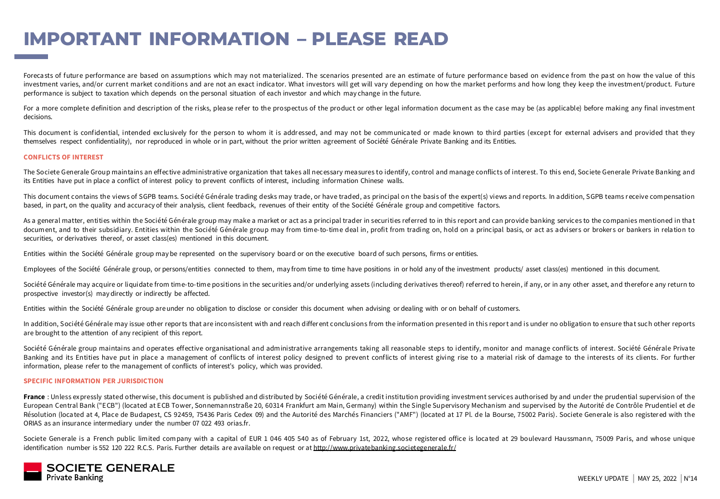## **IMPORTANT INFORMATION – PLEASE READ**

Forecasts of future performance are based on assumptions which may not materialized. The scenarios presented are an estimate of future performance based on evidence from the past on how the value of this investment varies, and/or current market conditions and are not an exact indicator. What investors will get will vary depending on how the market performs and how long they keep the investment/product. Future performance is subject to taxation which depends on the personal situation of each investor and which may change in the future.

For a more complete definition and description of the risks, please refer to the prospectus of the product or other legal information document as the case may be (as applicable) before making any final investment decisions.

This document is confidential, intended exclusively for the person to whom it is addressed, and may not be communicated or made known to third parties (except for external advisers and provided that they themselves respect confidentiality), nor reproduced in whole or in part, without the prior written agreement of Société Générale Private Banking and its Entities.

#### **CONFLICTS OF INTEREST**

The Societe Generale Group maintains an effective administrative organization that takes all necessary mea sures to identify, control and manage conflicts of interest. To this end, Societe Generale Private Banking and its Entities have put in place a conflict of interest policy to prevent conflicts of interest, including information Chinese walls.

This document contains the views of SGPB teams. Société Générale trading desks may trade, or have traded, as principal on the basis of the expert(s) views and reports. In addition, SGPB teams receive compensation based, in part, on the quality and accuracy of their analysis, client feedback, revenues of their entity of the Société Générale group and competitive factors.

As a general matter, entities within the Société Générale group may make a market or act as a principal trader in securities referred to in this report and can provide banking services to the companies mentioned in that document, and to their subsidiary. Entities within the Société Générale group may from time-to-time deal in, profit from trading on, hold on a principal basis, or act as advisers or brokers or bankers in relation to securities, or derivatives thereof, or asset class(es) mentioned in this document.

Entities within the Société Générale group may be represented on the supervisory board or on the executive board of such persons, firms or entities.

Employees of the Société Générale group, or persons/entities connected to them, may from time to time have positions in or hold any of the investment products/ asset class(es) mentioned in this document.

Société Générale may acquire or liquidate from time-to-time positions in the securities and/or underlying assets (including derivatives thereof) referred to herein, if any, or in any other asset, and therefore any return t prospective investor(s) may directly or indirectly be affected.

Entities within the Société Générale group areunder no obligation to disclose or consider this document when advising or dealing with or on behalf of customers.

In addition, Société Générale may issue other reports that are inconsistent with and reach differ ent conclusions from the information presented in this report and is under no obligation to ensure that such other reports are brought to the attention of any recipient of this report.

Société Générale group maintains and operates effective organisational and administrative arrangements taking all reasonable steps to identify, monitor and manage conflicts of interest. Société Générale Private Banking and its Entities have put in place a management of conflicts of interest policy designed to prevent conflicts of interest giving rise to a material risk of damage to the interests of its clients. For further information, please refer to the management of conflicts of interest's policy, which was provided.

#### **SPECIFIC INFORMATION PER JURISDICTION**

France : Unless expressly stated other wise, this document is published and distributed by Société Générale, a credit institution providing investment services authorised by and under the prudential supervision of the European Central Bank ("ECB") (located at ECB Tower, Sonnemannstraße 20, 60314 Frankfurt am Main, Germany) within the Single Supervisory Mechanism and supervised by the Autorité de Contrôle Prudentiel et de Résolution (loca ted at 4, Place de Budapest, CS 92459, 75436 Paris Cedex 09) and the Autorité des Marchés Financiers ("AMF") (located at 17 Pl. de la Bourse, 75002 Paris). Societe Generale is also registered with the ORIAS as an insurance intermediary under the number 07 022 493 orias.fr.

Societe Generale is a French public limited company with a capital of EUR 1 046 405 540 as of February 1st, 2022, whose registered office is located at 29 boulevard Haussmann, 75009 Paris, and whose unique identification number is 552 120 222 R.C.S. Paris. Further details are available on request or at <http://www.privatebanking.societegenerale.fr/>